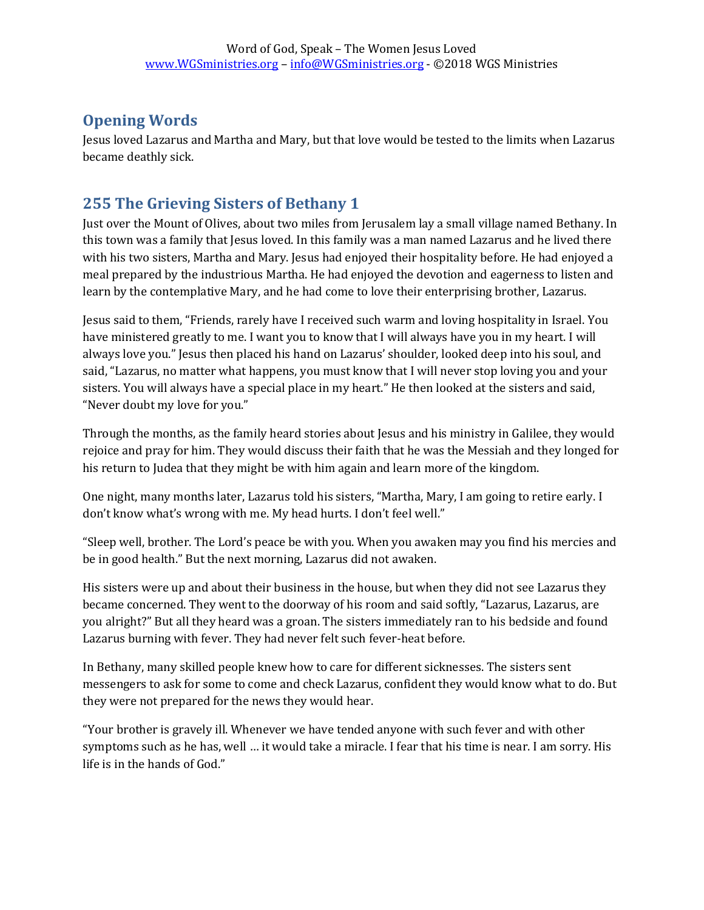## **Opening Words**

Jesus loved Lazarus and Martha and Mary, but that love would be tested to the limits when Lazarus became deathly sick.

## **255 The Grieving Sisters of Bethany 1**

Just over the Mount of Olives, about two miles from Jerusalem lay a small village named Bethany. In this town was a family that Jesus loved. In this family was a man named Lazarus and he lived there with his two sisters, Martha and Mary. Jesus had enjoyed their hospitality before. He had enjoyed a meal prepared by the industrious Martha. He had enjoyed the devotion and eagerness to listen and learn by the contemplative Mary, and he had come to love their enterprising brother, Lazarus.

Jesus said to them, "Friends, rarely have I received such warm and loving hospitality in Israel. You have ministered greatly to me. I want you to know that I will always have you in my heart. I will always love you." Jesus then placed his hand on Lazarus' shoulder, looked deep into his soul, and said, "Lazarus, no matter what happens, you must know that I will never stop loving you and your sisters. You will always have a special place in my heart." He then looked at the sisters and said, "Never doubt my love for you."

Through the months, as the family heard stories about Jesus and his ministry in Galilee, they would rejoice and pray for him. They would discuss their faith that he was the Messiah and they longed for his return to Judea that they might be with him again and learn more of the kingdom.

One night, many months later, Lazarus told his sisters, "Martha, Mary, I am going to retire early. I don't know what's wrong with me. My head hurts. I don't feel well."

"Sleep well, brother. The Lord's peace be with you. When you awaken may you find his mercies and be in good health." But the next morning, Lazarus did not awaken.

His sisters were up and about their business in the house, but when they did not see Lazarus they became concerned. They went to the doorway of his room and said softly, "Lazarus, Lazarus, are you alright?" But all they heard was a groan. The sisters immediately ran to his bedside and found Lazarus burning with fever. They had never felt such fever-heat before.

In Bethany, many skilled people knew how to care for different sicknesses. The sisters sent messengers to ask for some to come and check Lazarus, confident they would know what to do. But they were not prepared for the news they would hear.

"Your brother is gravely ill. Whenever we have tended anyone with such fever and with other symptoms such as he has, well … it would take a miracle. I fear that his time is near. I am sorry. His life is in the hands of God."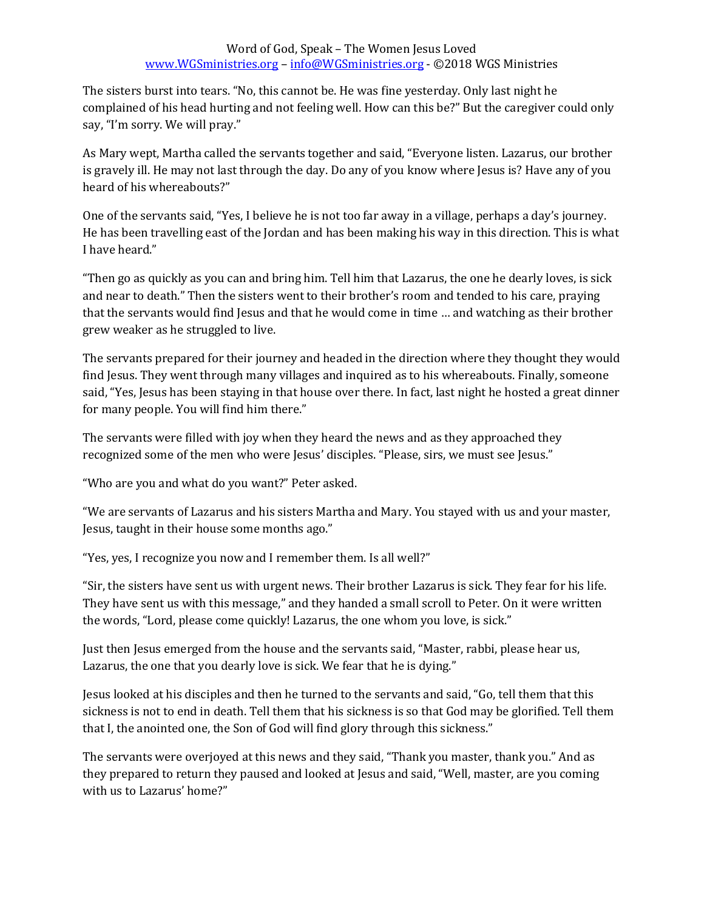The sisters burst into tears. "No, this cannot be. He was fine yesterday. Only last night he complained of his head hurting and not feeling well. How can this be?" But the caregiver could only say, "I'm sorry. We will pray."

As Mary wept, Martha called the servants together and said, "Everyone listen. Lazarus, our brother is gravely ill. He may not last through the day. Do any of you know where Jesus is? Have any of you heard of his whereabouts?"

One of the servants said, "Yes, I believe he is not too far away in a village, perhaps a day's journey. He has been travelling east of the Jordan and has been making his way in this direction. This is what I have heard."

"Then go as quickly as you can and bring him. Tell him that Lazarus, the one he dearly loves, is sick and near to death." Then the sisters went to their brother's room and tended to his care, praying that the servants would find Jesus and that he would come in time … and watching as their brother grew weaker as he struggled to live.

The servants prepared for their journey and headed in the direction where they thought they would find Jesus. They went through many villages and inquired as to his whereabouts. Finally, someone said, "Yes, Jesus has been staying in that house over there. In fact, last night he hosted a great dinner for many people. You will find him there."

The servants were filled with joy when they heard the news and as they approached they recognized some of the men who were Jesus' disciples. "Please, sirs, we must see Jesus."

"Who are you and what do you want?" Peter asked.

"We are servants of Lazarus and his sisters Martha and Mary. You stayed with us and your master, Jesus, taught in their house some months ago."

"Yes, yes, I recognize you now and I remember them. Is all well?"

"Sir, the sisters have sent us with urgent news. Their brother Lazarus is sick. They fear for his life. They have sent us with this message," and they handed a small scroll to Peter. On it were written the words, "Lord, please come quickly! Lazarus, the one whom you love, is sick."

Just then Jesus emerged from the house and the servants said, "Master, rabbi, please hear us, Lazarus, the one that you dearly love is sick. We fear that he is dying."

Jesus looked at his disciples and then he turned to the servants and said, "Go, tell them that this sickness is not to end in death. Tell them that his sickness is so that God may be glorified. Tell them that I, the anointed one, the Son of God will find glory through this sickness."

The servants were overjoyed at this news and they said, "Thank you master, thank you." And as they prepared to return they paused and looked at Jesus and said, "Well, master, are you coming with us to Lazarus' home?"